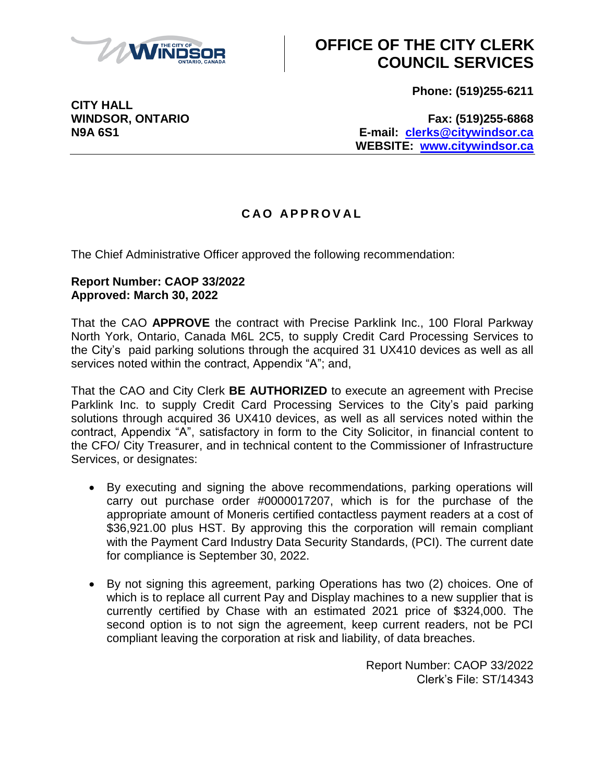

**CITY HALL**

### **OFFICE OF THE CITY CLERK COUNCIL SERVICES**

**Phone: (519)255-6211**

**WINDSOR, ONTARIO Fax: (519)255-6868 N9A 6S1 E-mail: [clerks@citywindsor.ca](mailto:clerks@citywindsor.ca) WEBSITE: [www.citywindsor.ca](http://www.citywindsor.ca/)**

### **C A O A P P R O V A L**

The Chief Administrative Officer approved the following recommendation:

#### **Report Number: CAOP 33/2022 Approved: March 30, 2022**

That the CAO **APPROVE** the contract with Precise Parklink Inc., 100 Floral Parkway North York, Ontario, Canada M6L 2C5, to supply Credit Card Processing Services to the City's paid parking solutions through the acquired 31 UX410 devices as well as all services noted within the contract, Appendix "A"; and,

That the CAO and City Clerk **BE AUTHORIZED** to execute an agreement with Precise Parklink Inc. to supply Credit Card Processing Services to the City's paid parking solutions through acquired 36 UX410 devices, as well as all services noted within the contract, Appendix "A", satisfactory in form to the City Solicitor, in financial content to the CFO/ City Treasurer, and in technical content to the Commissioner of Infrastructure Services, or designates:

- By executing and signing the above recommendations, parking operations will carry out purchase order #0000017207, which is for the purchase of the appropriate amount of Moneris certified contactless payment readers at a cost of \$36,921.00 plus HST. By approving this the corporation will remain compliant with the Payment Card Industry Data Security Standards, (PCI). The current date for compliance is September 30, 2022.
- By not signing this agreement, parking Operations has two (2) choices. One of which is to replace all current Pay and Display machines to a new supplier that is currently certified by Chase with an estimated 2021 price of \$324,000. The second option is to not sign the agreement, keep current readers, not be PCI compliant leaving the corporation at risk and liability, of data breaches.

Report Number: CAOP 33/2022 Clerk's File: ST/14343